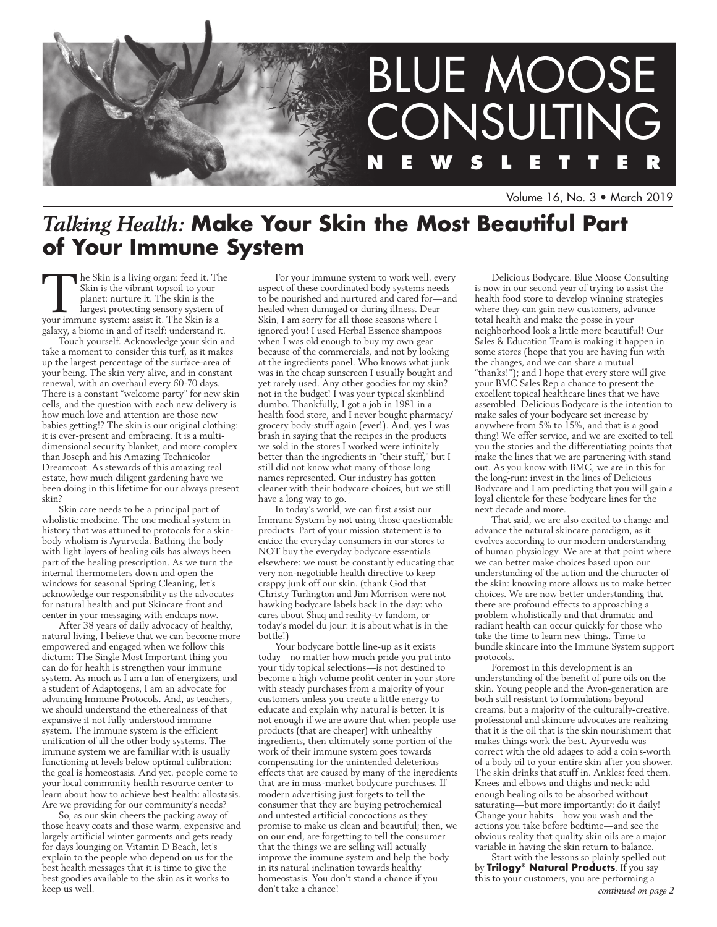

Volume 16, No. 3 • March 2019

# *Talking Health:* **Make Your Skin the Most Beautiful Part of Your Immune System**

The Skin is a living organ: feed it. The Skin is the vibrant topsoil to your planet: nurture it. The skin is the largest protecting sensory system of your immune system: assist it. The Skin is a Skin is the vibrant topsoil to your planet: nurture it. The skin is the largest protecting sensory system of galaxy, a biome in and of itself: understand it.

Touch yourself. Acknowledge your skin and take a moment to consider this turf, as it makes up the largest percentage of the surface-area of your being. The skin very alive, and in constant renewal, with an overhaul every 60-70 days. There is a constant "welcome party" for new skin cells, and the question with each new delivery is how much love and attention are those new babies getting!? The skin is our original clothing: it is ever-present and embracing. It is a multidimensional security blanket, and more complex than Joseph and his Amazing Technicolor Dreamcoat. As stewards of this amazing real estate, how much diligent gardening have we been doing in this lifetime for our always present skin?

Skin care needs to be a principal part of wholistic medicine. The one medical system in history that was attuned to protocols for a skinbody wholism is Ayurveda. Bathing the body with light layers of healing oils has always been part of the healing prescription. As we turn the internal thermometers down and open the windows for seasonal Spring Cleaning, let's acknowledge our responsibility as the advocates for natural health and put Skincare front and center in your messaging with endcaps now.

After 38 years of daily advocacy of healthy, natural living, I believe that we can become more empowered and engaged when we follow this dictum: The Single Most Important thing you can do for health is strengthen your immune system. As much as I am a fan of energizers, and a student of Adaptogens, I am an advocate for advancing Immune Protocols. And, as teachers, we should understand the etherealness of that expansive if not fully understood immune system. The immune system is the efficient unification of all the other body systems. The immune system we are familiar with is usually functioning at levels below optimal calibration: the goal is homeostasis. And yet, people come to your local community health resource center to learn about how to achieve best health: allostasis. Are we providing for our community's needs?

So, as our skin cheers the packing away of those heavy coats and those warm, expensive and largely artificial winter garments and gets ready for days lounging on Vitamin D Beach, let's explain to the people who depend on us for the best health messages that it is time to give the best goodies available to the skin as it works to keep us well.

For your immune system to work well, every aspect of these coordinated body systems needs to be nourished and nurtured and cared for—and healed when damaged or during illness. Dear Skin, I am sorry for all those seasons where I ignored you! I used Herbal Essence shampoos when I was old enough to buy my own gear because of the commercials, and not by looking at the ingredients panel. Who knows what junk was in the cheap sunscreen I usually bought and yet rarely used. Any other goodies for my skin? not in the budget! I was your typical skinblind dumbo. Thankfully, I got a job in 1981 in a health food store, and I never bought pharmacy/ grocery body-stuff again (ever!). And, yes I was brash in saying that the recipes in the products we sold in the stores I worked were infinitely better than the ingredients in "their stuff," but I still did not know what many of those long names represented. Our industry has gotten cleaner with their bodycare choices, but we still have a long way to go.

In today's world, we can first assist our Immune System by not using those questionable products. Part of your mission statement is to entice the everyday consumers in our stores to NOT buy the everyday bodycare essentials elsewhere: we must be constantly educating that very non-negotiable health directive to keep crappy junk off our skin. (thank God that Christy Turlington and Jim Morrison were not hawking bodycare labels back in the day: who cares about Shaq and reality-tv fandom, or today's model du jour: it is about what is in the bottle!)

Your bodycare bottle line-up as it exists today—no matter how much pride you put into your tidy topical selections—is not destined to become a high volume profit center in your store with steady purchases from a majority of your customers unless you create a little energy to educate and explain why natural is better. It is not enough if we are aware that when people use products (that are cheaper) with unhealthy ingredients, then ultimately some portion of the work of their immune system goes towards compensating for the unintended deleterious effects that are caused by many of the ingredients that are in mass-market bodycare purchases. If modern advertising just forgets to tell the consumer that they are buying petrochemical and untested artificial concoctions as they promise to make us clean and beautiful; then, we on our end, are forgetting to tell the consumer that the things we are selling will actually improve the immune system and help the body in its natural inclination towards healthy homeostasis. You don't stand a chance if you don't take a chance!

Delicious Bodycare. Blue Moose Consulting is now in our second year of trying to assist the health food store to develop winning strategies where they can gain new customers, advance total health and make the posse in your neighborhood look a little more beautiful! Our Sales & Education Team is making it happen in some stores (hope that you are having fun with the changes, and we can share a mutual "thanks!"); and I hope that every store will give your BMC Sales Rep a chance to present the excellent topical healthcare lines that we have assembled. Delicious Bodycare is the intention to make sales of your bodycare set increase by anywhere from 5% to 15%, and that is a good thing! We offer service, and we are excited to tell you the stories and the differentiating points that make the lines that we are partnering with stand out. As you know with BMC, we are in this for the long-run: invest in the lines of Delicious Bodycare and I am predicting that you will gain a loyal clientele for these bodycare lines for the next decade and more.

That said, we are also excited to change and advance the natural skincare paradigm, as it evolves according to our modern understanding of human physiology. We are at that point where we can better make choices based upon our understanding of the action and the character of the skin: knowing more allows us to make better choices. We are now better understanding that there are profound effects to approaching a problem wholistically and that dramatic and radiant health can occur quickly for those who take the time to learn new things. Time to bundle skincare into the Immune System support protocols.

Foremost in this development is an understanding of the benefit of pure oils on the skin. Young people and the Avon-generation are both still resistant to formulations beyond creams, but a majority of the culturally-creative, professional and skincare advocates are realizing that it is the oil that is the skin nourishment that makes things work the best. Ayurveda was correct with the old adages to add a coin's-worth of a body oil to your entire skin after you shower. The skin drinks that stuff in. Ankles: feed them. Knees and elbows and thighs and neck: add enough healing oils to be absorbed without saturating—but more importantly: do it daily! Change your habits—how you wash and the actions you take before bedtime—and see the obvious reality that quality skin oils are a major variable in having the skin return to balance.

Start with the lessons so plainly spelled out by **Trilogy® Natural Products**. If you say this to your customers, you are performing a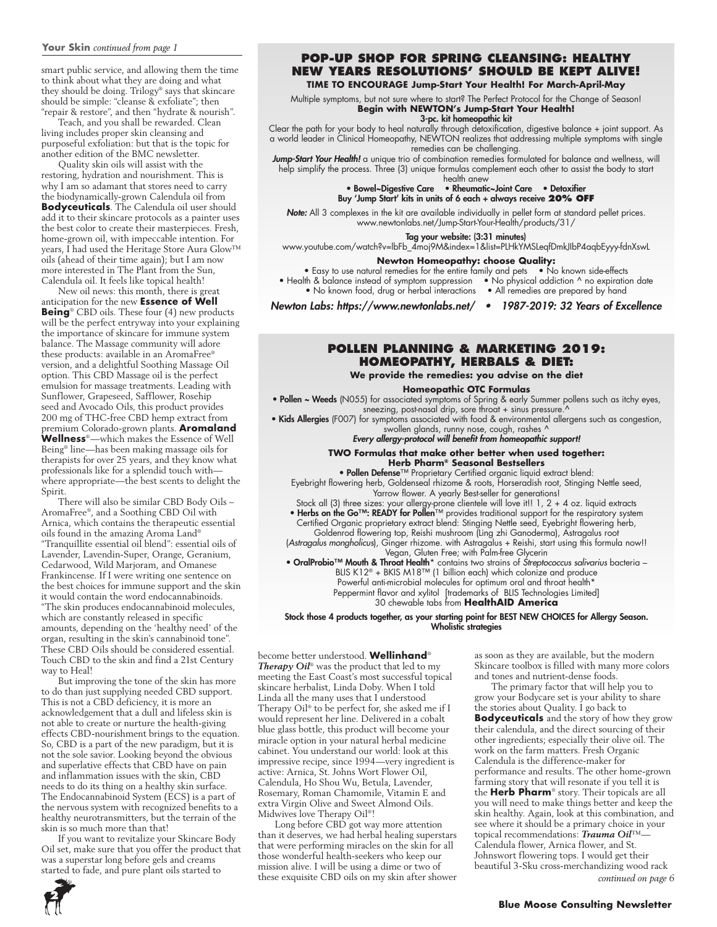#### **Your Skin** *continued from page 1*

smart public service, and allowing them the time to think about what they are doing and what they should be doing. Trilogy® says that skincare should be simple: "cleanse & exfoliate"; then "repair & restore", and then "hydrate & nourish".

Teach, and you shall be rewarded. Clean living includes proper skin cleansing and purposeful exfoliation: but that is the topic for another edition of the BMC newsletter.

Quality skin oils will assist with the restoring, hydration and nourishment. This is why I am so adamant that stores need to carry the biodynamically-grown Calendula oil from **Bodyceuticals**. The Calendula oil user should add it to their skincare protocols as a painter uses the best color to create their masterpieces. Fresh, home-grown oil, with impeccable intention. For years, I had used the Heritage Store Aura Glow™ oils (ahead of their time again); but I am now more interested in The Plant from the Sun, Calendula oil. It feels like topical health!

New oil news: this month, there is great anticipation for the new **Essence of Well Being**<sup>®</sup> CBD oils. These four (4) new products will be the perfect entryway into your explaining the importance of skincare for immune system balance. The Massage community will adore these products: available in an AromaFree® version, and a delightful Soothing Massage Oil option. This CBD Massage oil is the perfect emulsion for massage treatments. Leading with Sunflower, Grapeseed, Safflower, Rosehip seed and Avocado Oils, this product provides 200 mg of THC-free CBD hemp extract from premium Colorado-grown plants. **Aromaland Wellness**®—which makes the Essence of Well Being® line—has been making massage oils for therapists for over 25 years, and they know what professionals like for a splendid touch with where appropriate—the best scents to delight the Spirit.

There will also be similar CBD Body Oils – AromaFree®, and a Soothing CBD Oil with Arnica, which contains the therapeutic essential oils found in the amazing Aroma Land® "Tranquillite essential oil blend": essential oils of Lavender, Lavendin-Super, Orange, Geranium, Cedarwood, Wild Marjoram, and Omanese Frankincense. If I were writing one sentence on the best choices for immune support and the skin it would contain the word endocannabinoids. "The skin produces endocannabinoid molecules, which are constantly released in specific amounts, depending on the 'healthy need' of the organ, resulting in the skin's cannabinoid tone". These CBD Oils should be considered essential. Touch CBD to the skin and find a 21st Century way to Heal!

But improving the tone of the skin has more to do than just supplying needed CBD support. This is not a CBD deficiency, it is more an acknowledgement that a dull and lifeless skin is not able to create or nurture the health-giving effects CBD-nourishment brings to the equation. So, CBD is a part of the new paradigm, but it is not the sole savior. Looking beyond the obvious and superlative effects that CBD have on pain and inflammation issues with the skin, CBD needs to do its thing on a healthy skin surface. The Endocannabinoid System (ECS) is a part of the nervous system with recognized benefits to a healthy neurotransmitters, but the terrain of the skin is so much more than that!

If you want to revitalize your Skincare Body Oil set, make sure that you offer the product that was a superstar long before gels and creams started to fade, and pure plant oils started to



# **TIME TO ENCOURAGE Jump-Start Your Health! For March-April-May**

Multiple symptoms, but not sure where to start? The Perfect Protocol for the Change of Season! **Begin with NEWTON's Jump-Start Your Health!** 

#### 3-pc. kit homeopathic kit

Clear the path for your body to heal naturally through detoxification, digestive balance + joint support. As a world leader in Clinical Homeopathy, NEWTON realizes that addressing multiple symptoms with single remedies can be challenging.

*Jump-Start Your Health!* a unique trio of combination remedies formulated for balance and wellness, will help simplify the process. Three (3) unique formulas complement each other to assist the body to start health anew

• Bowel~Digestive Care • Rheumatic~Joint Care • Detoxifier Buy 'Jump Start' kits in units of 6 each + always receive **20% OFF**

*Note:* All 3 complexes in the kit are available individually in pellet form at standard pellet prices. www.newtonlabs.net/Jump-Start-Your-Health/products/31/

# Tag your website: (3:31 minutes)

www.youtube.com/watch?v=lbFb\_4moj9M&index=1&list=PLHkYMSLeqfDmkJIbP4aqbEyyy-fdnXswL

#### **Newton Homeopathy: choose Quality:**

• Easy to use natural remedies for the entire family and pets • No known side-effects • Health & balance instead of symptom suppression • No physical addiction ^ no expiration date • No known food, drug or herbal interactions • All remedies are prepared by hand

Newton Labs: https://www.newtonlabs.net/ • 1987-2019: 32 Years of Excellence

# **Pollen Planning & Marketing 2019: homeopathy, herbals & diet:**

**We provide the remedies: you advise on the diet**

**Homeopathic OTC Formulas** 

• Pollen ~ Weeds (N055) for associated symptoms of Spring & early Summer pollens such as itchy eyes, sneezing, post-nasal drip, sore throat + sinus pressure.^

**• Kids Allergies** (F007) for symptoms associated with food & environmental allergens such as congestion, swollen glands, runny nose, cough, rashes ^

Every allergy-protocol will benefit from homeopathic support!

#### **TWO Formulas that make other better when used together: Herb Pharm® Seasonal Bestsellers**

• Pollen Defense™ Proprietary Certified organic liquid extract blend:

Eyebright flowering herb, Goldenseal rhizome & roots, Horseradish root, Stinging Nettle seed, Yarrow flower. A yearly Best-seller for generations!

Stock all (3) three sizes: your allergy-prone clientele will love it!! 1, 2 + 4 oz. liquid extracts

• Herbs on the Go™: READY for Pollen™ provides traditional support for the respiratory system

Certified Organic proprietary extract blend: Stinging Nettle seed, Eyebright flowering herb, Goldenrod flowering top, Reishi mushroom (Ling zhi Ganoderma), Astragalus root

(*Astragalus mongholicus*), Ginger rhizome. with Astragalus + Reishi, start using this formula now!! Vegan, Gluten Free; with Palm-free Glycerin

• OralProbio™ Mouth & Throat Health\* contains two strains of *Streptococcus salivarius* bacteria –

BLIS K12® + BKIS M18™ (1 billion each) which colonize and produce

Powerful anti-microbial molecules for optimum oral and throat health\*

Peppermint flavor and xylitol [trademarks of BLIS Technologies Limited] 30 chewable tabs from **HealthAID America**

Stock those 4 products together, as your starting point for BEST NEW CHOICES for Allergy Season. Wholistic strategies

become better understood. **Wellinhand**® *Therapy Oil*® was the product that led to my meeting the East Coast's most successful topical skincare herbalist, Linda Doby. When I told Linda all the many uses that I understood Therapy Oil® to be perfect for, she asked me if I would represent her line. Delivered in a cobalt blue glass bottle, this product will become your miracle option in your natural herbal medicine cabinet. You understand our world: look at this impressive recipe, since 1994—very ingredient is active: Arnica, St. Johns Wort Flower Oil, Calendula, Ho Shou Wu, Betula, Lavender, Rosemary, Roman Chamomile, Vitamin E and extra Virgin Olive and Sweet Almond Oils. Midwives love Therapy Oil®!

Long before CBD got way more attention than it deserves, we had herbal healing superstars that were performing miracles on the skin for all those wonderful health-seekers who keep our mission alive. I will be using a dime or two of these exquisite CBD oils on my skin after shower

as soon as they are available, but the modern Skincare toolbox is filled with many more colors and tones and nutrient-dense foods.

The primary factor that will help you to grow your Bodycare set is your ability to share the stories about Quality. I go back to **Bodyceuticals** and the story of how they grow their calendula, and the direct sourcing of their other ingredients; especially their olive oil. The work on the farm matters. Fresh Organic Calendula is the difference-maker for performance and results. The other home-grown farming story that will resonate if you tell it is the **Herb Pharm**® story. Their topicals are all you will need to make things better and keep the skin healthy. Again, look at this combination, and see where it should be a primary choice in your topical recommendations: *Trauma Oil*™— Calendula flower, Arnica flower, and St. Johnswort flowering tops. I would get their beautiful 3-Sku cross-merchandizing wood rack *continued on page 6*

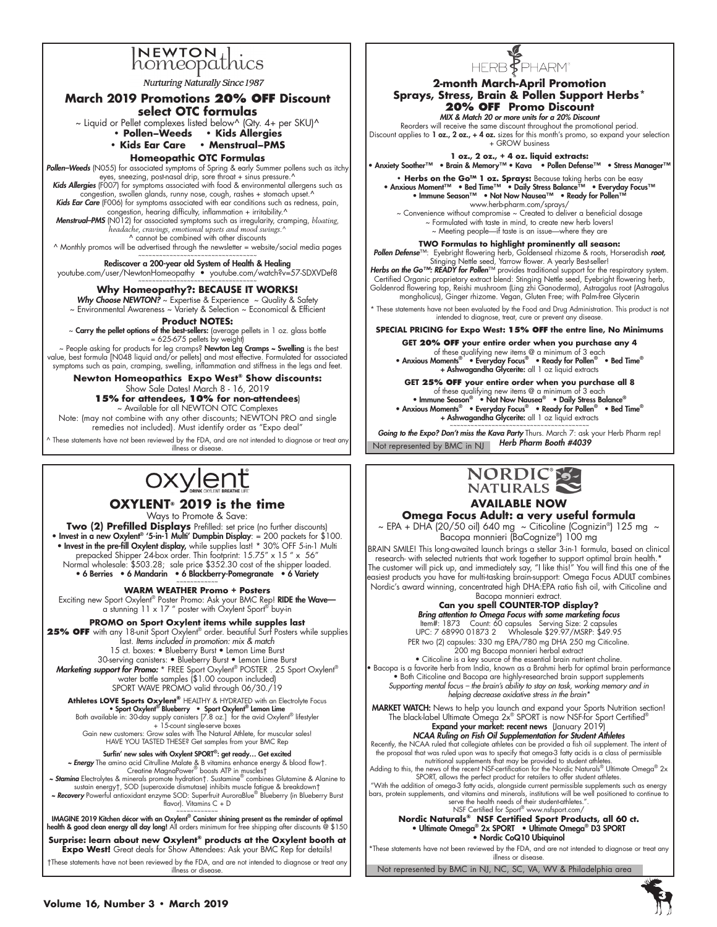

**Nurturing Naturally Since 1987** 

#### **March 2019 Promotions 20% off Discount select OTC formulas**

 $\sim$  Liquid or Pellet complexes listed below^ (Qty. 4+ per SKU)^

**• Pollen–Weeds • Kids Allergies** 

**• Kids Ear Care • Menstrual–PMS** 

#### **Homeopathic OTC Formulas**

**Pollen–Weeds** (N055) for associated symptoms of Spring & early Summer pollens such as itchy<br>eyes, sneezing, post-nasal drip, sore throat + sinus pressure.^

Kids Allergies (F007) for symptoms associated with food & environmental allergens such as ongestion, swollen glands, runny nose, cough, rashes + stomach upset.^

Kids Ear Care (F006) for symptoms associated with ear conditions such as redness, pain,

congestion, hearing difficulty, inflammation + irritability.^<br>**Menstrual–PMS** (N012) for associated symptoms such as irregularity, cramping, bloating,<br>headache, cravings, emotional upsets and mood swings.^ ^ cannot be combined with other discounts

 $\land$  Monthly promos will be advertised through the newsletter = website/social media pages

~~~~~~~~~~~~~~~~~~~~~~~~~~~~~~~~~~ Rediscover a 200-year old System of Health & Healing

youtube.com/user/NewtonHomeopathy • youtube.com/watch?v=57-SDXVDef8 ~~~~~~~~~~~~~~~~~~~~~~~~~~~~~~~~~~

#### **Why Homeopathy?: BECAUSE IT WORKS!**

Why Choose NEWTON?  $\sim$  Expertise & Experience  $\sim$  Quality & Safety

~ Environmental Awareness ~ Variety & Selection ~ Economical & Efficient

**Product NOTES:**

~ Carry the pellet options of the best-sellers: (average pellets in 1 oz. glass bottle = 625-675 pellets by weight)

~ People asking for products for leg cramps? Newton Leg Cramps ~ Swelling is the best value, best formula [N048 liquid and/or pellets] and most effective. Formulated for associated symptoms such as pain, cramping, swelling, inflammation and stiffness in the legs and feet.

**Newton Homeopathics Expo West® Show discounts:**  Show Sale Dates! March 8 - 16, 2019 **15% for attendees, 10% for non-attendees**)

# ~ Available for all NEWTON OTC Complexes

Note: (may not combine with any other discounts; NEWTON PRO and single remedies not included). Must identify order as "Expo deal"

 $^{\wedge}$  These statements have not been reviewed by the FDA, and are not intended to diagnose or treat any illness or disease

# oxylent

**OXYLENT® 2019 is the time**

Ways to Promote & Save:

**Two (2) Prefilled Displays** Prefilled: set price (no further discounts) • Invest in a new Oxylent<sup>®</sup> '5-in-1 Multi' Dumpbin Display: = 200 packets for \$100. • Invest in the pre-fill Oxylent display, while supplies last! \* 30% OFF 5-in-1 Multi prepacked Shipper 24-box order. Thin footprint: 15.75" x 15 " x 56" Normal wholesale: \$503.28; sale price \$352.30 cost of the shipper loaded. • 6 Berries • 6 Mandarin • 6 Blackberry-Pomegranate • 6 Variety

~~~~~~~~~~~~ **WARM WEATHER Promo + Posters**

Exciting new Sport Oxylent® Poster Promo: Ask your BMC Rep! RIDE the Wave a stunning 11 x 17 " poster with Oxylent Sport® buy-in

**PROMO on Sport Oxylent items while supples last 25% OFF** with any 18-unit Sport Oxylent® order. beautiful Surf Posters while supplies last. *Items included in promotion: mix & match* 15 ct. boxes: • Blueberry Burst • Lemon Lime Burst 30-serving canisters: • Blueberry Burst • Lemon Lime Burst

Marketing support for Promo: \* FREE Sport Oxylent® POSTER . 25 Sport Oxylent® water bottle samples (\$1.00 coupon included) SPORT WAVE PROMO valid through 06/30./19

**Athletes LOVE Sports Oxylent®** HEALTHY & HYDRATED with an Electrolyte Focus • Sport Oxylent® Blueberry • Sport Oxylent® Lemon Lime Both available in: 30-day supply canisters [7.8 oz.] for the avid Oxylent® lifestyler + 15-count single-serve boxes Gain new customers: Grow sales with The Natural Athlete, for muscular sales! HAVE YOU TASTED THESE? Get samples from your BMC Rep

Surfin' new sales with Oxylent SPORT®: get ready… Get excited

**Fnergy** The amino acid Citrulline Malate & B vitamins enhance energy & blood flow†.<br>Creatine MagnaPower© boosts ATP in muscles†<br>Kamine© combines Glutamine & Alanine to مShamine Bramine & Alanine to محمد Shamine a Electrol

sustain energy†, SOD (superoxide dismutase) inhibits muscle fatigue & breakdown†<br>Kecovery Powerful antioxidant enzyme SOD: Superfruit AuroraBlue® Blueberry (in Blueberry Burst -

flavor). Vitamins C + D

IMAGINE 2019 Kitchen décor with an Oxylent® Canister shining present as the reminder of optimal health & good clean energy all day long! All orders minimum for free shipping after discounts @ \$150

**Surprise: learn about new Oxylent® products at the Oxylent booth at Expo West!** Great deals for Show Attendees: Ask your BMC Rep for details!

†These statements have not been reviewed by the FDA, and are not intended to diagnose or treat any illness or disease



# **2-month March-April Promotion Sprays, Stress, Brain & Pollen Support Herbs\* 20% OFF Promo Discount**

MIX & Match 20 or more units for a 20% Discount

Reorders will receive the same discount throughout the promotional period. Discount applies to 1 oz., 2 oz., + 4 oz. sizes for this month's promo, so expand your selection + GROW business

**1 oz., 2 oz., + 4 oz. liquid extracts:** • Anxiety Soother™ • Brain & Memory™ • Kava • Pollen Defense™ • Stress Manager™

• Herbs on the Go™ 1 oz. Sprays: Because taking herbs can be easy<br>• Anxious Moment™ • Bed Time™ • Daily Stress Balance™ • Everyday Focus™<br>• Immune Season™ • Not Now Nausea™ • Ready for Pollen™

www.herb-pharm.com/sprays/

~ Convenience without compromise ~ Created to deliver a beneficial dosage  $\sim$  Formulated with taste in mind, to create new herb lovers! ~ Meeting people—if taste is an issue—where they are

**TWO Formulas to highlight prominently all season:**

Pollen Defense™: Eyebright flowering herb, Goldenseal rhizome & roots, Horseradish *root,* 

Stinging Nettle seed, Yarrow flower. A yearly Best-seller!<br> **Herbs on the Go<sup>TM</sup>: READY for Pollen**<sup>TM</sup> provides traditional support for the respiratory system.<br>
Certified Organic proprietary extract blend: Stinging Nettl

\* These statements have not been evaluated by the Food and Drug Administration. This product is not intended to diagnose, treat, cure or prevent any disease.

**SPECIAL PRICING for Expo West: 15% OFF the entre line, No Minimums**

**GET 20% OFF your entire order when you purchase any 4**  of these qualifying new items @ a minimum of 3 each<br>• Anxious Moments® • Everyday Focus® • Ready for Pollen® • Bed Time®<br>• Ashwagandha Glycerite: all 1 oz liquid extracts

**GET 25% OFF your entire order when you purchase all 8** 

of these qualifying new items @ a minimum of 3 each<br>• Immune Season® • Not Now Nausea® • Daily Stress Balance®<br>• Anxious Moments® • Everyday Focus® • Ready for Pollen® • Bed Time®<br>• Ashwagandha Glycerite: all 1 oz liquid

Not represented by BMC in NJ **Herb Pharm Booth #4039** ~~~~~~~~~~~~~~~~~~~~~~~~~~~~~~~~~~~~~~~~ Going to the Expo? Don't miss the Kava Party Thurs. March 7: ask your Herb Pharm rep!



# **AVAILABLE NOW**

**Omega Focus Adult: a very useful formula** ~ EPA + DHA (20/50 oil) 640 mg ~ Citicoline (Cognizin®) 125 mg ~ Bacopa monnieri (BaCognize®) 100 mg

BRAIN SMILE! This long-awaited launch brings a stellar 3-in-1 formula, based on clinical research- with selected nutrients that work together to support optimal brain health.\* The customer will pick up, and immediately say, "I like this!" You will find this one of the easiest products you have for multi-tasking brain-support: Omega Focus ADULT combines Nordic's award winning, concentrated high DHA:EPA ratio fish oil, with Citicoline and Bacopa monnieri extract.

**Can you spell COUNTER-TOP display?**  Bring attention to Omega Focus with some marketing focus

Item#: 1873 Count: 60 capsules Serving Size: 2 capsules UPC: 7 68990 01873 2 Wholesale \$29.97/MSRP: \$49.95 PER two (2) capsules: 330 mg EPA/780 mg DHA 250 mg Citicoline. 200 mg Bacopa monnieri herbal extract

• Citicoline is a key source of the essential brain nutrient choline. • Bacopa is a favorite herb from India, known as a Brahmi herb for optimal brain performance • Both Citicoline and Bacopa are highly-researched brain support supplements *Supporting mental focus – the brain's ability to stay on task, working memory and in helping decrease oxidative stress in the brain\**

MARKET WATCH: News to help you launch and expand your Sports Nutrition section!<br>The black-label Ultimate Omega 2x® SPORT is now NSF-for Sport Certified®<br>**Expand your market: recent news** (January 2019)

**NCAA Ruling on Fish Oil Supplementation for Student Athletes**<br>Recently, the NCAA ruled that collegiate athletes can be provided a fish oil supplement. The intent of the proposal that was ruled upon was to specify that omega-3 fatty acids is a class of permissible

nutritional supplements that may be provided to student athletes.<br>Adding to this, the news of the recent NSF-certification for the Nordic Naturals® Ultimate Omega® 2x SPORT, allows the perfect product for retailers to offer student athletes.

"With the addition of omega-3 fatty acids, alongside current permissible supplements such as energy bars, protein supplements, and vitamins and minerals, institutions will be well positioned to continue to serve the health needs of their student-athletes.

NSF Certified for Sport® www.nsfsport.com/ **Nordic Naturals® NSF Certified Sport Products, all 60 ct.** • Ultimate Omega<sup>®</sup> 2x SPORT • Ultimate Omega<sup>®</sup> D3 SPORT • Nordic CoQ10 Ubiquinol

\*These statements have not been reviewed by the FDA, and are not intended to diagnose or treat any illness or disease.

Not represented by BMC in NJ, NC, SC, VA, WV & Philadelphia area

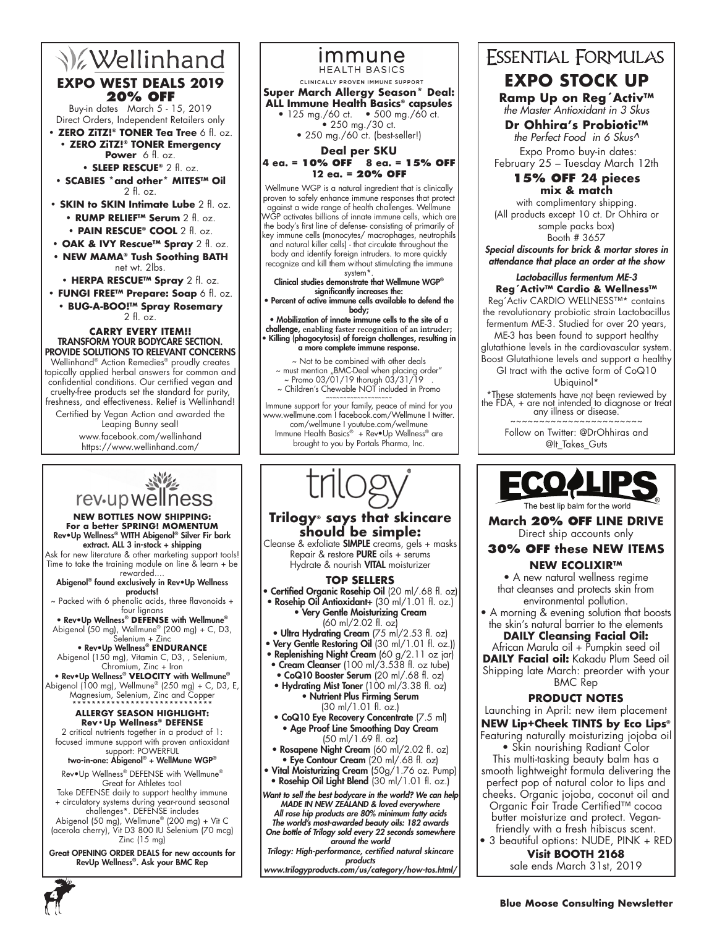# **V**ellinhand **EXPO WEST DEALS 2019 20% OFF**

Buy-in dates March 5 - 15, 2019 Direct Orders, Independent Retailers only

**• ZERO ZiTZ!® TONER Tea Tree** 6 fl. oz. **• ZERO ZiTZ!® TONER Emergency** 

**Power** 6 fl. oz.

**• SLEEP RESCUE®** 2 fl. oz.

- **SCABIES \*and other\* MITES™ Oil**  $2 \text{ fl} \text{ oz}$
- **SKIN to SKIN Intimate Lube** 2 fl. oz.
	- **RUMP RELIEF™ Serum** 2 fl. oz.
	- **PAIN RESCUE® COOL** 2 fl. oz.
- **OAK & IVY Rescue™ Spray** 2 fl. oz.
- **NEW MAMA® Tush Soothing BATH** net wt. 2lbs.
	- **HERPA RESCUE™ Spray** 2 fl. oz.
- **FUNGI FREE™ Prepare: Soap** 6 fl. oz. **• BUG-A-BOO!™ Spray Rosemary** 2 fl. oz.

#### **Carry every item!!** TRANSFORM YOUR BODYCARE SECTION. PROVIDE SOLUTIONS TO RELEVANT CONCERNS

Wellinhand® Action Remedies® proudly creates topically applied herbal answers for common and confidential conditions. Our certified vegan and cruelty-free products set the standard for purity, freshness, and effectiveness. Relief is Wellinhand!

Certified by Vegan Action and awarded the Leaping Bunny seal!

www.facebook.com/wellinhand https://www.wellinhand.com/



CLINICALLY PROVEN IMMUNE SUPPORT

**Super March Allergy Season\* Deal: ALL Immune Health Basics® capsules**  • 125 mg./60 ct. • 500 mg./60 ct. • 250 mg./30 ct.

• 250 mg./60 ct. (best-seller!)

**Deal per SKU**

#### **4 ea. = 10% OFF 8 ea. = 15% OFF 12 ea. = 20% OFF**

Wellmune WGP is a natural ingredient that is clinically proven to safely enhance immune responses that protect against a wide range of health challenges. Wellmune WGP activates billions of innate immune cells, which are the body's first line of defense- consisting of primarily of key immune cells (monocytes/ macrophages, neutrophils and natural killer cells) - that circulate throughout the

body and identify foreign intruders. to more quickly recognize and kill them without stimulating the immune system\*.

Clinical studies demonstrate that Wellmune WGP® significantly increases the:

• Percent of active immune cells available to defend the body;

• Mobilization of innate immune cells to the site of a challenge, **enabling faster recognition of an intruder;** • Killing (phagocytosis) of foreign challenges, resulting in a more complete immune response.

~ Not to be combined with other deals  $\sim$  must mention "BMC-Deal when placing order" ~ Promo 03/01/19 thorugh 03/31/19 . ~ Children's Chewable NOT included in Promo

~~~~~~~~~~~~~~~~~~~ Immune support for your family, peace of mind for you www.wellmune.com I facebook.com/Wellmune I twitter. com/wellmune I youtube.com/wellmune Immune Health Basics® + Rev•Up Wellness® are brought to you by Portals Pharma, Inc.

# rev-up wellness

#### **NEW BOTTLES NOW SHIPPING: For a better SPRING! MOMENTUM**  Rev•Up Wellness® WITH Abigenol® Silver Fir bark extract. ALL 3 in-stock + shipping Ask for new literature & other marketing support tools!

Time to take the training module on line & learn + be rewarded....

Abigenol® found exclusively in Rev•Up Wellness products!

~ Packed with 6 phenolic acids, three flavonoids + four lignans

• Rev•Up Wellness® **DEFENSE** with Wellmune® Abigenol (50 mg), Wellmune® (200 mg) + C, D3, Selenium + Zinc

• Rev•Up Wellness® **ENDURANCE**  Abigenol (150 mg), Vitamin C, D3, , Selenium, Chromium, Zinc + Iron

• Rev•Up Wellness® **VELOCITY** with Wellmune® Abigenol (100 mg), Wellmune® (250 mg) + C, D3, E, Magnesium, Selenium, Zinc and Copper

#### \*\*\*\*\*\*\*\*\*\*\*\*\*\*\*\*\*\*\*\*\*\*\*\*\*\*\*\*\* **ALLERGY SEASON HIGHLIGHT:**

**Rev•Up Wellness® DEFENSE** 2 critical nutrients together in a product of 1: focused immune support with proven antioxidant support: POWERFUL

### two-in-one: Abigenol® + WellMune WGP®

Rev•Up Wellness® DEFENSE with Wellmune® Great for Athletes too!

Take DEFENSE daily to support healthy immune + circulatory systems during year-round seasonal

challenges\*. DEFENSE includes Abigenol (50 mg), Wellmune® (200 mg) + Vit C (acerola cherry), Vit D3 800 IU Selenium (70 mcg) Zinc (15 mg)

Great OPENING ORDER DEALS for new accounts for RevUp Wellness®. Ask your BMC Rep

# **Trilogy® says that skincare should be simple:**

Cleanse & exfoliate **SIMPLE** creams, gels + masks Repair & restore **PURE** oils  $+$  serums Hydrate & nourish VITAL moisturizer

### **TOP SELLERS**

• Certified Organic Rosehip Oil (20 ml/.68 fl. oz)

• Rosehip Oil Antioxidant+ (30 ml/1.01 fl. oz.) • Very Gentle Moisturizing Cream

- (60 ml/2.02 fl. oz)
- Ultra Hydrating Cream (75 ml/2.53 fl. oz) • Very Gentle Restoring Oil (30 ml/1.01 fl. oz.))
- Replenishing Night Cream (60 g/2.11 oz jar)
- Cream Cleanser (100 ml/3.538 fl. oz tube)
- CoQ10 Booster Serum (20 ml/.68 fl. oz) • Hydrating Mist Toner (100 ml/3.38 fl. oz)
	- Nutrient Plus Firming Serum (30 ml/1.01 fl. oz.)
- CoQ10 Eye Recovery Concentrate (7.5 ml) • Age Proof Line Smoothing Day Cream (50 ml/1.69 fl. oz)
- Rosapene Night Cream (60 ml/2.02 fl. oz) • Eye Contour Cream (20 ml/.68 fl. oz)
- Vital Moisturizing Cream (50g/1.76 oz. Pump)
- Rosehip Oil Light Blend (30 ml/1.01 fl. oz.)

Want to sell the best bodycare in the world? We can help MADE IN NEW ZEALAND & loved everywhere All rose hip products are 80% minimum fatty acids

The world's most-awarded beauty oils: 182 awards One bottle of Trilogy sold every 22 seconds somewhere around the world

Trilogy: High-performance, certified natural skincare products

www.trilogyproducts.com/us/category/how-tos.html/

# **ESSENTIAL FORMULAS EXPO STOCK UP**

**Ramp Up on Reg´Activ™** *the Master Antioxidant in 3 Skus*

# **Dr Ohhira's Probiotic™**

*the Perfect Food in 6 Skus^*  Expo Promo buy-in dates: February 25 – Tuesday March 12th

# **15% OFF 24 pieces mix & match**

with complimentary shipping. (All products except 10 ct. Dr Ohhira or sample packs box) Booth # 3657 Special discounts for brick & mortar stores in attendance that place an order at the show

# Lactobacillus fermentum ME-3 **Reg´Activ™ Cardio & Wellness™**

Reg´Activ CARDIO WELLNESS™\* contains the revolutionary probiotic strain Lactobacillus

fermentum ME-3. Studied for over 20 years, ME-3 has been found to support healthy

glutathione levels in the cardiovascular system. Boost Glutathione levels and support a healthy GI tract with the active form of CoQ10

Ubiquinol\*

\*These statements have not been reviewed by the FDA, + are not intended to diagnose or treat any illness or disease.

~~~~~~~~~~~~~~~~~~

Follow on Twitter: @DrOhhiras and @It\_Takes\_Guts



# **March 20% OFF LINE DRIVE** Direct ship accounts only

# **30% OFF these NEW ITEMS NEW ECOLIXIR™**

• A new natural wellness regime that cleanses and protects skin from environmental pollution.

• A morning & evening solution that boosts the skin's natural barrier to the elements

# **DAILY Cleansing Facial Oil:**

African Marula oil + Pumpkin seed oil **DAILY Facial oil:** Kakadu Plum Seed oil Shipping late March: preorder with your BMC Rep

# **Product notes**

Launching in April: new item placement **NEW Lip+Cheek TINTS by Eco Lips®**

- Featuring naturally moisturizing jojoba oil • Skin nourishing Radiant Color
- This multi-tasking beauty balm has a smooth lightweight formula delivering the perfect pop of natural color to lips and cheeks. Organic jojoba, coconut oil and Organic Fair Trade Certified™ cocoa
- butter moisturize and protect. Veganfriendly with a fresh hibiscus scent. • 3 beautiful options: NUDE, PINK + RED

**Visit BOOTH 2168** sale ends March 31st, 2019

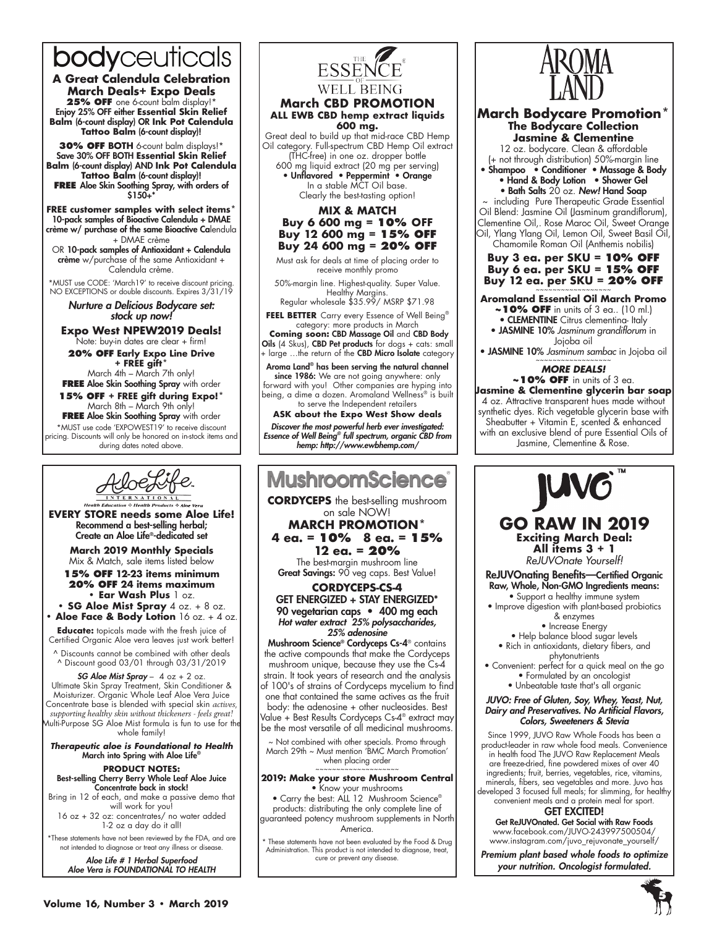# bodyceuticals

**A Great Calendula Celebration March Deals+ Expo Deals** 25% OFF one 6-count balm display!\* Enjoy 25% OFF either **Essential Skin Relief Balm** (6-count display) OR **Ink Pot Calendula Tattoo Balm** (6-count display)!

**30% OFF BOTH** 6-count balm displays!\* Save 30% OFF BOTH **Essential Skin Relief Balm** (6-count display) AND **Ink Pot Calendula Tattoo Balm** (6-count display)! **FREE** Aloe Skin Soothing Spray, with orders of \$150+\*

**FREE customer samples with select items\*** 10-pack samples of Bioactive Calendula + DMAE crème w/ purchase of the same Bioactive Calendula + DMAE crème

OR 10-pack samples of Antioxidant + Calendula crème w/purchase of the same Antioxidant + Calendula crème.

\*MUST use CODE: 'March19' to receive discount pricing. NO EXCEPTIONS or double discounts. Expires 3/31/19

Nurture a Delicious Bodycare set: stock up now!

**Expo West NPEW2019 Deals!** Note: buy-in dates are clear + firm!

**20% off Early Expo Line Drive + FREE gift\*** March 4th – March 7th only!

**FREE Aloe Skin Soothing Spray with order 15% off + FREE gift during Expo!\*** March 8th – March 9th only!

**FREE Aloe Skin Soothing Spray with order** \*MUST use code 'EXPOWEST19' to receive discount pricing. Discounts will only be honored on in-stock items and during dates noted above.



**EVERY STORE needs some Aloe Life!** Recommend a best-selling herbal; Create an Aloe Life®-dedicated set

> **March 2019 Monthly Specials** Mix & Match, sale items listed below

**15% OFF 12-23 items minimum 20% OFF 24 items maximum • Ear Wash Plus** 1 oz. **• SG Aloe Mist Spray** 4 oz. + 8 oz.

**• Aloe Face & Body Lotion** 16 oz. + 4 oz.

**Educate:** topicals made with the fresh juice of Certified Organic Aloe vera leaves just work better!

^ Discounts cannot be combined with other deals ^ Discount good 03/01 through 03/31/2019

SG Aloe Mist Spray -  $4$  oz +  $2$  oz. Ultimate Skin Spray Treatment, Skin Conditioner & Moisturizer. Organic Whole Leaf Aloe Vera Juice Concentrate base is blended with special skin *actives, supporting healthy skin without thickeners - feels great!* Multi-Purpose SG Aloe Mist formula is fun to use for the whole family!

*Therapeutic aloe is Foundational to Health* March into Spring with Aloe Life®

#### **PRODUCT NOTES:** Best-selling Cherry Berry Whole Leaf Aloe Juice Concentrate back in stock!

Bring in 12 of each, and make a passive demo that will work for you! 16 oz + 32 oz: concentrates/ no water added 1-2 oz a day do it all!

\*These statements have not been reviewed by the FDA, and are not intended to diagnose or treat any illness or disease.

> Aloe Life # 1 Herbal Superfood Aloe Vera is FOUNDATIONAL TO HEALTH



#### **March CBD PROMOTION ALL EWB CBD hemp extract liquids 600 mg.**

Great deal to build up that mid-race CBD Hemp Oil category. Full-spectrum CBD Hemp Oil extract (THC-free) in one oz. dropper bottle 600 mg liquid extract (20 mg per serving) • Unflavored • Peppermint • Orange In a stable MCT Oil base.

Clearly the best-tasting option!

# **MIX & MATCH Buy 6 600 mg = 10% OFF Buy 12 600 mg = 15% OFF Buy 24 600 mg = 20% OFF**

Must ask for deals at time of placing order to receive monthly promo

50%-margin line. Highest-quality. Super Value. Healthy Margins.

Regular wholesale \$35.99/ MSRP \$71.98 **FEEL BETTER** Carry every Essence of Well Being®

category: more products in March  **Coming soon:** CBD Massage Oil and CBD Body Oils (4 Skus), CBD Pet products for dogs + cats: small + large ...the return of the **CBD Micro Isolate** category

Aroma Land® has been serving the natural channel since 1986: We are not going anywhere: only

forward with you! Other companies are hyping into being, a dime a dozen. Aromaland Wellness® is built to serve the Independent retailers

**ASK about the Expo West Show deals** Discover the most powerful herb ever investigated: Essence of Well Being*®* full spectrum, organic CBD from hemp: http://www.ewbhemp.com/



be the most versatile of all medicinal mushrooms. ~ Not combined with other specials. Promo through March 29th ~ Must mention 'BMC March Promotion'

when placing order

# ~~~~~~~~~~~~~~~~~~~~ **2019: Make your store Mushroom Central** • Know your mushrooms

• Carry the best: ALL 12 Mushroom Science® products: distributing the only complete line of guaranteed potency mushroom supplements in North America.

\* These statements have not been evaluated by the Food & Drug Administration. This product is not intended to diagnose, treat, cure or prevent any disease.



**March Bodycare Promotion\* The Bodycare Collection Jasmine & Clementine**

12 oz. bodycare. Clean & affordable (+ not through distribution) 50%-margin line

• Shampoo • Conditioner • Massage & Body • Hand & Body Lotion • Shower Gel

• Bath Salts 20 oz. *New!* Hand Soap

~ including Pure Therapeutic Grade Essential Oil Blend: Jasmine Oil (Jasminum grandiflorum), Clementine Oil,. Rose Maroc Oil, Sweet Orange Oil, Ylang Ylang Oil, Lemon Oil, Sweet Basil Oil, Chamomile Roman Oil (Anthemis nobilis)

**Buy 3 ea. per SKU = 10% OFF Buy 6 ea. per SKU = 15% OFF Buy 12 ea. per SKU = 20% OFF** 

# **Aromaland Essential Oil March Promo**

**~10% OFF** in units of 3 ea.. (10 ml.) • CLEMENTINE Citrus clementina- Italy

• JASMINE 10% *Jasminum grandiflorum* in Jojoba oil

• JASMINE 10% *Jasminum sambac* in Jojoba oil

#### *More Deals!* **~10% OFF** in units of 3 ea.

**Jasmine & Clementine glycerin bar soap** 4 oz. Attractive transparent hues made without synthetic dyes. Rich vegetable glycerin base with Sheabutter + Vitamin E, scented & enhanced with an exclusive blend of pure Essential Oils of Jasmine, Clementine & Rose.



ReJUVOnating Benefits—Certified Organic Raw, Whole, Non-GMO Ingredients means:

• Support a healthy immune system • Improve digestion with plant-based probiotics

- & enzymes
- Increase Energy
- Help balance blood sugar levels • Rich in antioxidants, dietary fibers, and
	- phytonutrients
- Convenient: perfect for a quick meal on the go • Formulated by an oncologist
	- Unbeatable taste that's all organic

#### JUVO: Free of Gluten, Soy, Whey, Yeast, Nut, Dairy and Preservatives. No Artificial Flavors, Colors, Sweeteners & Stevia

Since 1999, JUVO Raw Whole Foods has been a product-leader in raw whole food meals. Convenience in health food The JUVO Raw Replacement Meals are freeze-dried, fine powdered mixes of over 40 ingredients; fruit, berries, vegetables, rice, vitamins, minerals, fibers, sea vegetables and more. Juvo has developed 3 focused full meals; for slimming, for healthy convenient meals and a protein meal for sport.

#### GET EXCITED! Get ReJUVOnated. Get Social with Raw Foods

www.facebook.com/JUVO-243997500504/ www.instagram.com/juvo\_rejuvonate\_yourself/

Premium plant based whole foods to optimize your nutrition. Oncologist formulated.

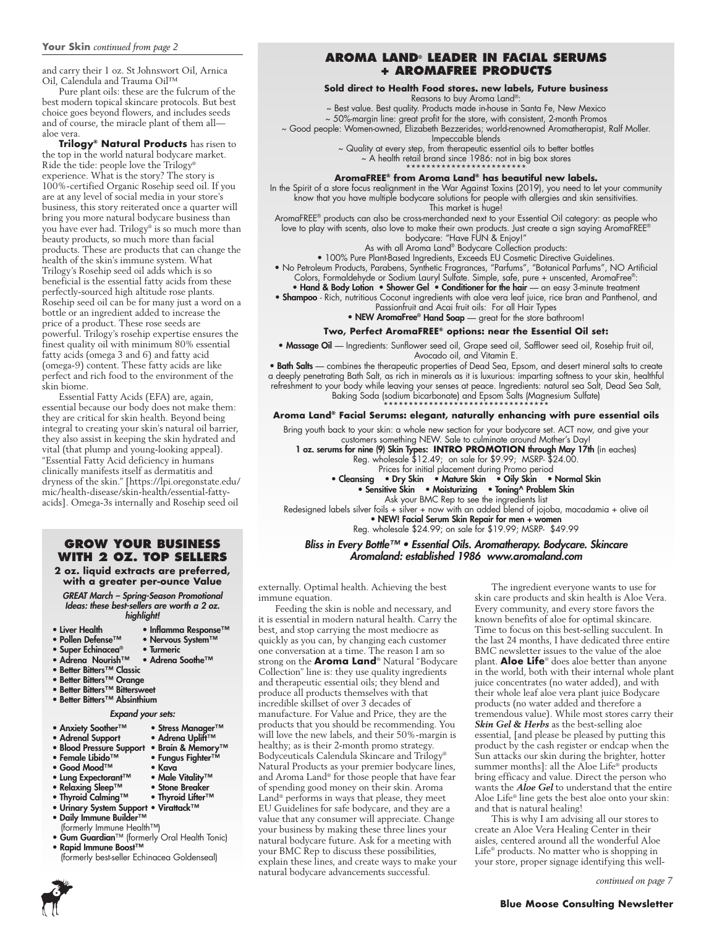and carry their 1 oz. St Johnswort Oil, Arnica Oil, Calendula and Trauma Oil™

Pure plant oils: these are the fulcrum of the best modern topical skincare protocols. But best choice goes beyond flowers, and includes seeds and of course, the miracle plant of them all aloe vera.

**Trilogy® Natural Products** has risen to the top in the world natural bodycare market. Ride the tide: people love the Trilogy® experience. What is the story? The story is 100%-certified Organic Rosehip seed oil. If you are at any level of social media in your store's business, this story reiterated once a quarter will bring you more natural bodycare business than you have ever had. Trilogy® is so much more than beauty products, so much more than facial products. These are products that can change the health of the skin's immune system. What Trilogy's Rosehip seed oil adds which is so beneficial is the essential fatty acids from these perfectly-sourced high altitude rose plants. Rosehip seed oil can be for many just a word on a bottle or an ingredient added to increase the price of a product. These rose seeds are powerful. Trilogy's rosehip expertise ensures the finest quality oil with minimum 80% essential fatty acids (omega 3 and 6) and fatty acid (omega-9) content. These fatty acids are like perfect and rich food to the environment of the skin biome.

Essential Fatty Acids (EFA) are, again, essential because our body does not make them: they are critical for skin health. Beyond being integral to creating your skin's natural oil barrier, they also assist in keeping the skin hydrated and vital (that plump and young-looking appeal). "Essential Fatty Acid deficiency in humans clinically manifests itself as dermatitis and dryness of the skin." [https://lpi.oregonstate.edu/ mic/health-disease/skin-health/essential-fattyacids]. Omega-3s internally and Rosehip seed oil

# **Grow your Business with 2 oz. top sellers**

**2 oz. liquid extracts are preferred, with a greater per-ounce Value**

GREAT March – Spring-Season Promotional Ideas: these best-sellers are worth a 2 oz. highlight!

- 
- Liver Health Inflamma Response™<br>• Pollen Defense™ • Nervous System™
- 
- Super Echinacea® Turmeric<br>• Adrena Nourish™ Adrena Soothe™

• Nervous System™

- Adrena Nourish™ • Better Bitters™ Classic
- Better Bitters™ Orange
- Better Bitters™ Bittersweet
- Better Bitters™ Absinthium
- 

#### Expand your sets:

- 
- Anxiety Soother™ Stress Manager™<br>• Adrenal Support Adrena Uplift™ • Adrenal Support
- Blood Pressure Support Brain & Memory™
- Female Libido™ Fungus Fighter™
- 
- Good Mood™ Kava<br>• Lung Expectorant™ Male Vitality™
- Lung Expectorant™ Male Vitality™<br>• Relaxing Sleep™ Stone Breaker
- Relaxing Sleep™ Stone Breaker<br>• Thyroid Calming™ Thyroid Lifter™ • Thyroid Calming™
- Urinary System Support Virattack™
- Daily Immune Builder™
- (formerly Immune Health™)
- Gum Guardian™ (formerly Oral Health Tonic)
- Rapid Immune Boost™
- (formerly best-seller Echinacea Goldenseal)

# **Aroma Land® LEADER in Facial Serums + AromaFREE products**

#### **Sold direct to Health Food stores. new labels, Future business** Reasons to buy Aroma Land®:

~ Best value. Best quality. Products made in-house in Santa Fe, New Mexico

~ 50%-margin line: great profit for the store, with consistent, 2-month Promos ~ Good people: Women-owned, Elizabeth Bezzerides; world-renowned Aromatherapist, Ralf Moller.

- Impeccable blends ~ Quality at every step, from therapeutic essential oils to better bottles
	- ~ A health retail brand since 1986: not in big box stores

#### \*\*\*\*\*\*\*\*\*\*\*\*\*\*\*\*\*\*\*\*\*\*\*\* **AromaFREE® from Aroma Land® has beautiful new labels.**

In the Spirit of a store focus realignment in the War Against Toxins (2019), you need to let your community know that you have multiple bodycare solutions for people with allergies and skin sensitivities. This market is huge!

AromaFREE® products can also be cross-merchanded next to your Essential Oil category: as people who love to play with scents, also love to make their own products. Just create a sign saying AromaFREE® bodycare: "Have FUN & Enjoy!"

As with all Aroma Land® Bodycare Collection products:

• 100% Pure Plant-Based Ingredients, Exceeds EU Cosmetic Directive Guidelines.

• No Petroleum Products, Parabens, Synthetic Fragrances, "Parfums", "Botanical Parfums", NO Artificial Colors, Formaldehyde or Sodium Lauryl Sulfate. Simple, safe, pure + unscented, AromaFree®:

- Hand & Body Lotion Shower Gel Conditioner for the hair an easy 3-minute treatment • Shampoo - Rich, nutritious Coconut ingredients with aloe vera leaf juice, rice bran and Panthenol, and Passionfruit and Acai fruit oils: For all Hair Types
	- NEW AromaFree® Hand Soap great for the store bathroom!

# **Two, Perfect AromaFREE® options: near the Essential Oil set:**

• Massage Oil — Ingredients: Sunflower seed oil, Grape seed oil, Safflower seed oil, Rosehip fruit oil, Avocado oil, and Vitamin E.

• Bath Salts — combines the therapeutic properties of Dead Sea, Epsom, and desert mineral salts to create

a deeply penetrating Bath Salt, as rich in minerals as it is luxurious: imparting softness to your skin, healthful refreshment to your body while leaving your senses at peace. Ingredients: natural sea Salt, Dead Sea Salt, Baking Soda (sodium bicarbonate) and Epsom Salts (Magnesium Sulfate) \*\*\*\*\*\*\*\*\*\*\*\*\*\*\*\*\*\*\*\*\*\*\*\*\*\*\*\*\*\*\*\*\*

#### **Aroma Land® Facial Serums: elegant, naturally enhancing with pure essential oils**

Bring youth back to your skin: a whole new section for your bodycare set. ACT now, and give your customers something NEW. Sale to culminate around Mother's Day!

1 oz. serums for nine (9) Skin Types: **INTRO PROMOTION** through May 17th (in eaches) Reg. wholesale \$12.49; on sale for \$9.99; MSRP- \$24.00.

- Prices for initial placement during Promo period
- Cleansing Dry Skin Mature Skin Oily Skin Normal Skin • Sensitive Skin • Moisturizing • Toning^ Problem Skin
	- Ask your BMC Rep to see the ingredients list

Redesigned labels silver foils + silver + now with an added blend of jojoba, macadamia + olive oil • NEW! Facial Serum Skin Repair for men + women

Reg. wholesale \$24.99; on sale for \$19.99; MSRP- \$49.99

#### Bliss in Every Bottle™ • Essential Oils. Aromatherapy. Bodycare. Skincare Aromaland: established 1986 www.aromaland.com

externally. Optimal health. Achieving the best immune equation.

Feeding the skin is noble and necessary, and it is essential in modern natural health. Carry the best, and stop carrying the most mediocre as quickly as you can, by changing each customer one conversation at a time. The reason I am so strong on the **Aroma Land**® Natural "Bodycare Collection" line is: they use quality ingredients and therapeutic essential oils; they blend and produce all products themselves with that incredible skillset of over 3 decades of manufacture. For Value and Price, they are the products that you should be recommending. You will love the new labels, and their 50%-margin is healthy; as is their 2-month promo strategy. Bodyceuticals Calendula Skincare and Trilogy® Natural Products as your premier bodycare lines, and Aroma Land® for those people that have fear of spending good money on their skin. Aroma Land® performs in ways that please, they meet EU Guidelines for safe bodycare, and they are a value that any consumer will appreciate. Change your business by making these three lines your natural bodycare future. Ask for a meeting with your BMC Rep to discuss these possibilities, explain these lines, and create ways to make your natural bodycare advancements successful.

The ingredient everyone wants to use for skin care products and skin health is Aloe Vera. Every community, and every store favors the known benefits of aloe for optimal skincare. Time to focus on this best-selling succulent. In the last 24 months, I have dedicated three entire BMC newsletter issues to the value of the aloe plant. **Aloe Life**® does aloe better than anyone in the world, both with their internal whole plant juice concentrates (no water added), and with their whole leaf aloe vera plant juice Bodycare products (no water added and therefore a tremendous value). While most stores carry their *Skin Gel & Herbs* as the best-selling aloe essential, [and please be pleased by putting this product by the cash register or endcap when the Sun attacks our skin during the brighter, hotter summer months]: all the Aloe Life® products bring efficacy and value. Direct the person who wants the *Aloe Gel* to understand that the entire Aloe Life® line gets the best aloe onto your skin: and that is natural healing!

This is why I am advising all our stores to create an Aloe Vera Healing Center in their aisles, centered around all the wonderful Aloe Life® products. No matter who is shopping in your store, proper signage identifying this well-

*continued on page 7*

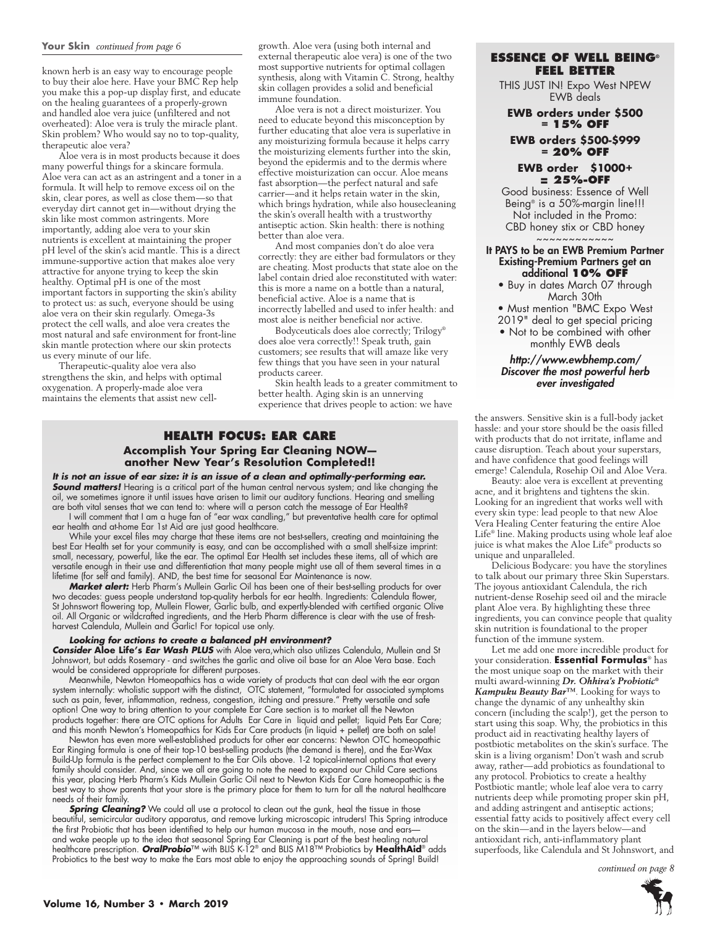#### **Your Skin** *continued from page 6*

known herb is an easy way to encourage people to buy their aloe here. Have your BMC Rep help you make this a pop-up display first, and educate on the healing guarantees of a properly-grown and handled aloe vera juice (unfiltered and not overheated): Aloe vera is truly the miracle plant. Skin problem? Who would say no to top-quality, therapeutic aloe vera?

Aloe vera is in most products because it does many powerful things for a skincare formula. Aloe vera can act as an astringent and a toner in a formula. It will help to remove excess oil on the skin, clear pores, as well as close them—so that everyday dirt cannot get in—without drying the skin like most common astringents. More importantly, adding aloe vera to your skin nutrients is excellent at maintaining the proper pH level of the skin's acid mantle. This is a direct immune-supportive action that makes aloe very attractive for anyone trying to keep the skin healthy. Optimal pH is one of the most important factors in supporting the skin's ability to protect us: as such, everyone should be using aloe vera on their skin regularly. Omega-3s protect the cell walls, and aloe vera creates the most natural and safe environment for front-line skin mantle protection where our skin protects us every minute of our life.

Therapeutic-quality aloe vera also strengthens the skin, and helps with optimal oxygenation. A properly-made aloe vera maintains the elements that assist new cellgrowth. Aloe vera (using both internal and external therapeutic aloe vera) is one of the two most supportive nutrients for optimal collagen synthesis, along with Vitamin C. Strong, healthy skin collagen provides a solid and beneficial immune foundation.

Aloe vera is not a direct moisturizer. You need to educate beyond this misconception by further educating that aloe vera is superlative in any moisturizing formula because it helps carry the moisturizing elements further into the skin, beyond the epidermis and to the dermis where effective moisturization can occur. Aloe means fast absorption—the perfect natural and safe carrier—and it helps retain water in the skin, which brings hydration, while also housecleaning the skin's overall health with a trustworthy antiseptic action. Skin health: there is nothing better than aloe vera.

And most companies don't do aloe vera correctly: they are either bad formulators or they are cheating. Most products that state aloe on the label contain dried aloe reconstituted with water: this is more a name on a bottle than a natural, beneficial active. Aloe is a name that is incorrectly labelled and used to infer health: and most aloe is neither beneficial nor active.

Bodyceuticals does aloe correctly; Trilogy® does aloe vera correctly!! Speak truth, gain customers; see results that will amaze like very few things that you have seen in your natural products career.

Skin health leads to a greater commitment to better health. Aging skin is an unnerving experience that drives people to action: we have

# **Health Focus: Ear Care Accomplish Your Spring Ear Cleaning NOW another New Year's Resolution Completed!!**

*It is not an issue of ear size: it is an issue of a clean and optimally-performing ear.*  **Sound matters!** Hearing is a critical part of the human central nervous system; and like changing the oil, we sometimes ignore it until issues have arisen to limit our auditory functions. Hearing and smelling are both vital senses that we can tend to: where will a person catch the message of Ear Health?

I will comment that I am a huge fan of "ear wax candling," but preventative health care for optimal ear health and at-home Ear 1st Aid are just good healthcare.

While your excel files may charge that these items are not best-sellers, creating and maintaining the best Ear Health set for your community is easy, and can be accomplished with a small shelf-size imprint: small, necessary, powerful, like the ear. The optimal Ear Health set includes these items, all of which are versatile enough in their use and differentiation that many people might use all of them several times in a lifetime (for self and family). AND, the best time for seasonal Ear Maintenance is now.

*Market alert:* Herb Pharm's Mullein Garlic Oil has been one of their best-selling products for over two decades: guess people understand top-quality herbals for ear health. Ingredients: Calendula flower, St Johnswort flowering top, Mullein Flower, Garlic bulb, and expertly-blended with certified organic Olive oil. All Organic or wildcrafted ingredients, and the Herb Pharm difference is clear with the use of freshharvest Calendula, Mullein and Garlic! For topical use only.

#### *Looking for actions to create a balanced pH environment?*

*Consider* **Aloe Life's** *Ear Wash PLUS* with Aloe vera,which also utilizes Calendula, Mullein and St Johnswort, but adds Rosemary - and switches the garlic and olive oil base for an Aloe Vera base. Each would be considered appropriate for different purposes.

Meanwhile, Newton Homeopathics has a wide variety of products that can deal with the ear organ system internally: wholistic support with the distinct, OTC statement, "formulated for associated symptoms such as pain, fever, inflammation, redness, congestion, itching and pressure." Pretty versatile and safe option! One way to bring attention to your complete Ear Care section is to market all the Newton products together: there are OTC options for Adults Ear Care in liquid and pellet; liquid Pets Ear Care; and this month Newton's Homeopathics for Kids Ear Care products (in liquid + pellet) are both on sale!

Newton has even more well-established products for other ear concerns: Newton OTC homeopathic Ear Ringing formula is one of their top-10 best-selling products (the demand is there), and the Ear-Wax Build-Up formula is the perfect complement to the Ear Oils above. 1-2 topical-internal options that every family should consider. And, since we all are going to note the need to expand our Child Care sections this year, placing Herb Pharm's Kids Mullein Garlic Oil next to Newton Kids Ear Care homeopathic is the best way to show parents that your store is the primary place for them to turn for all the natural healthcare needs of their family.

**Spring Cleaning?** We could all use a protocol to clean out the gunk, heal the tissue in those beautiful, semicircular auditory apparatus, and remove lurking microscopic intruders! This Spring introduce the first Probiotic that has been identified to help our human mucosa in the mouth, nose and earsand wake people up to the idea that seasonal Spring Ear Cleaning is part of the best healing natural healthcare prescription. *OralProbio*™ with BLIS K-12® and BLIS M18™ Probiotics by **HealthAid**® adds Probiotics to the best way to make the Ears most able to enjoy the approaching sounds of Spring! Build!

#### **Essence of Well Being® FEEL BETTER**

THIS JUST IN! Expo West NPEW EWB deals

#### **EWB orders under \$500 = 15% OFF**

#### **EWB orders \$500-\$999 = 20% OFF**

#### **EWB order \$1000+ = 25%-OFF**

Good business: Essence of Well Being® is a 50%-margin line!!! Not included in the Promo: CBD honey stix or CBD honey ~~~~~~~~~~~~

#### It PAYS to be an EWB Premium Partner Existing-Premium Partners get an additional **10% OFF**

• Buy in dates March 07 through March 30th

• Must mention "BMC Expo West

2019" deal to get special pricing • Not to be combined with other monthly EWB deals

#### http://www.ewbhemp.com/ Discover the most powerful herb ever investigated

the answers. Sensitive skin is a full-body jacket hassle: and your store should be the oasis filled with products that do not irritate, inflame and cause disruption. Teach about your superstars, and have confidence that good feelings will emerge! Calendula, Rosehip Oil and Aloe Vera.

Beauty: aloe vera is excellent at preventing acne, and it brightens and tightens the skin. Looking for an ingredient that works well with every skin type: lead people to that new Aloe Vera Healing Center featuring the entire Aloe Life® line. Making products using whole leaf aloe juice is what makes the Aloe Life® products so unique and unparalleled.

Delicious Bodycare: you have the storylines to talk about our primary three Skin Superstars. The joyous antioxidant Calendula, the rich nutrient-dense Rosehip seed oil and the miracle plant Aloe vera. By highlighting these three ingredients, you can convince people that quality skin nutrition is foundational to the proper function of the immune system.

Let me add one more incredible product for your consideration. **Essential Formulas**® has the most unique soap on the market with their multi award-winning *Dr. Ohhira's Probiotic® Kampuku Beauty Bar™*. Looking for ways to change the dynamic of any unhealthy skin concern (including the scalp!), get the person to start using this soap. Why, the probiotics in this product aid in reactivating healthy layers of postbiotic metabolites on the skin's surface. The skin is a living organism! Don't wash and scrub away, rather—add probiotics as foundational to any protocol. Probiotics to create a healthy Postbiotic mantle; whole leaf aloe vera to carry nutrients deep while promoting proper skin pH, and adding astringent and antiseptic actions; essential fatty acids to positively affect every cell on the skin—and in the layers below—and antioxidant rich, anti-inflammatory plant superfoods, like Calendula and St Johnswort, and

 *continued on page 8*